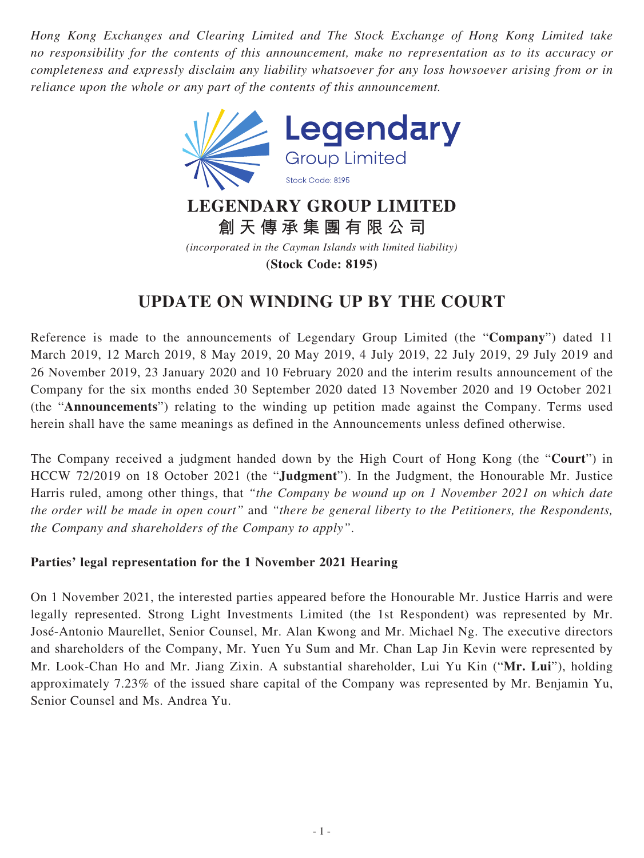*Hong Kong Exchanges and Clearing Limited and The Stock Exchange of Hong Kong Limited take no responsibility for the contents of this announcement, make no representation as to its accuracy or completeness and expressly disclaim any liability whatsoever for any loss howsoever arising from or in reliance upon the whole or any part of the contents of this announcement.*



**創天傳承集團有限公司**

*(incorporated in the Cayman Islands with limited liability)*

**(Stock Code: 8195)**

## **UPDATE ON WINDING UP BY THE COURT**

Reference is made to the announcements of Legendary Group Limited (the "**Company**") dated 11 March 2019, 12 March 2019, 8 May 2019, 20 May 2019, 4 July 2019, 22 July 2019, 29 July 2019 and 26 November 2019, 23 January 2020 and 10 February 2020 and the interim results announcement of the Company for the six months ended 30 September 2020 dated 13 November 2020 and 19 October 2021 (the "**Announcements**") relating to the winding up petition made against the Company. Terms used herein shall have the same meanings as defined in the Announcements unless defined otherwise.

The Company received a judgment handed down by the High Court of Hong Kong (the "**Court**") in HCCW 72/2019 on 18 October 2021 (the "**Judgment**"). In the Judgment, the Honourable Mr. Justice Harris ruled, among other things, that *"the Company be wound up on 1 November 2021 on which date the order will be made in open court"* and *"there be general liberty to the Petitioners, the Respondents, the Company and shareholders of the Company to apply"*.

## **Parties' legal representation for the 1 November 2021 Hearing**

On 1 November 2021, the interested parties appeared before the Honourable Mr. Justice Harris and were legally represented. Strong Light Investments Limited (the 1st Respondent) was represented by Mr. José-Antonio Maurellet, Senior Counsel, Mr. Alan Kwong and Mr. Michael Ng. The executive directors and shareholders of the Company, Mr. Yuen Yu Sum and Mr. Chan Lap Jin Kevin were represented by Mr. Look-Chan Ho and Mr. Jiang Zixin. A substantial shareholder, Lui Yu Kin ("**Mr. Lui**"), holding approximately 7.23% of the issued share capital of the Company was represented by Mr. Benjamin Yu, Senior Counsel and Ms. Andrea Yu.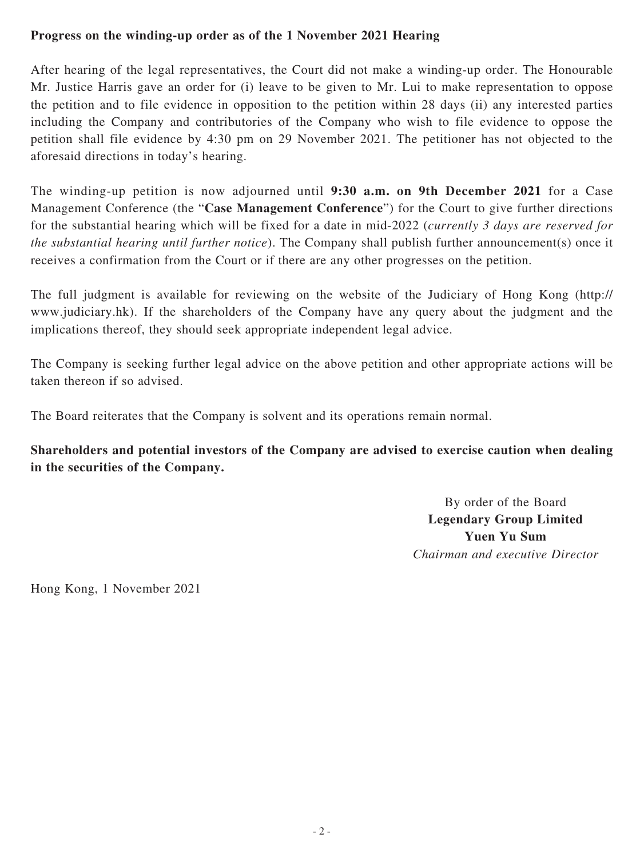## **Progress on the winding-up order as of the 1 November 2021 Hearing**

After hearing of the legal representatives, the Court did not make a winding-up order. The Honourable Mr. Justice Harris gave an order for (i) leave to be given to Mr. Lui to make representation to oppose the petition and to file evidence in opposition to the petition within 28 days (ii) any interested parties including the Company and contributories of the Company who wish to file evidence to oppose the petition shall file evidence by 4:30 pm on 29 November 2021. The petitioner has not objected to the aforesaid directions in today's hearing.

The winding-up petition is now adjourned until **9:30 a.m. on 9th December 2021** for a Case Management Conference (the "**Case Management Conference**") for the Court to give further directions for the substantial hearing which will be fixed for a date in mid-2022 (*currently 3 days are reserved for the substantial hearing until further notice*). The Company shall publish further announcement(s) once it receives a confirmation from the Court or if there are any other progresses on the petition.

The full judgment is available for reviewing on the website of the Judiciary of Hong Kong (http:// www.judiciary.hk). If the shareholders of the Company have any query about the judgment and the implications thereof, they should seek appropriate independent legal advice.

The Company is seeking further legal advice on the above petition and other appropriate actions will be taken thereon if so advised.

The Board reiterates that the Company is solvent and its operations remain normal.

## **Shareholders and potential investors of the Company are advised to exercise caution when dealing in the securities of the Company.**

By order of the Board **Legendary Group Limited Yuen Yu Sum** *Chairman and executive Director*

Hong Kong, 1 November 2021